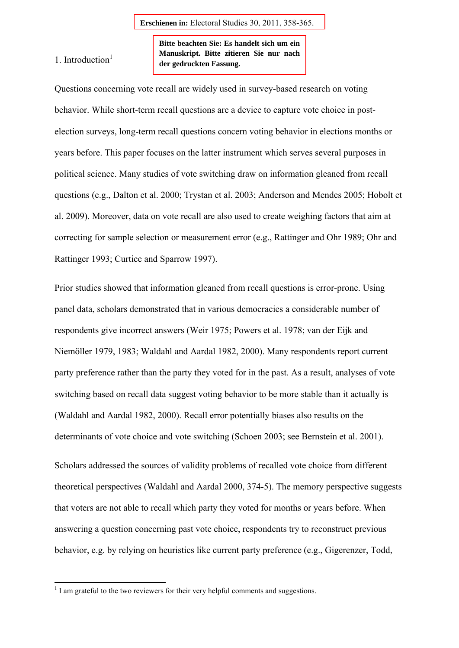1. Introduction $<sup>1</sup>$ </sup>

**Bitte beachten Sie: Es handelt sich um ein Manuskript. Bitte zitieren Sie nur nach der gedruckten Fassung.** 

Questions concerning vote recall are widely used in survey-based research on voting behavior. While short-term recall questions are a device to capture vote choice in postelection surveys, long-term recall questions concern voting behavior in elections months or years before. This paper focuses on the latter instrument which serves several purposes in political science. Many studies of vote switching draw on information gleaned from recall questions (e.g., Dalton et al. 2000; Trystan et al. 2003; Anderson and Mendes 2005; Hobolt et al. 2009). Moreover, data on vote recall are also used to create weighing factors that aim at correcting for sample selection or measurement error (e.g., Rattinger and Ohr 1989; Ohr and Rattinger 1993; Curtice and Sparrow 1997).

Prior studies showed that information gleaned from recall questions is error-prone. Using panel data, scholars demonstrated that in various democracies a considerable number of respondents give incorrect answers (Weir 1975; Powers et al. 1978; van der Eijk and Niemöller 1979, 1983; Waldahl and Aardal 1982, 2000). Many respondents report current party preference rather than the party they voted for in the past. As a result, analyses of vote switching based on recall data suggest voting behavior to be more stable than it actually is (Waldahl and Aardal 1982, 2000). Recall error potentially biases also results on the determinants of vote choice and vote switching (Schoen 2003; see Bernstein et al. 2001).

Scholars addressed the sources of validity problems of recalled vote choice from different theoretical perspectives (Waldahl and Aardal 2000, 374-5). The memory perspective suggests that voters are not able to recall which party they voted for months or years before. When answering a question concerning past vote choice, respondents try to reconstruct previous behavior, e.g. by relying on heuristics like current party preference (e.g., Gigerenzer, Todd,

 $<sup>1</sup>$  I am grateful to the two reviewers for their very helpful comments and suggestions.</sup>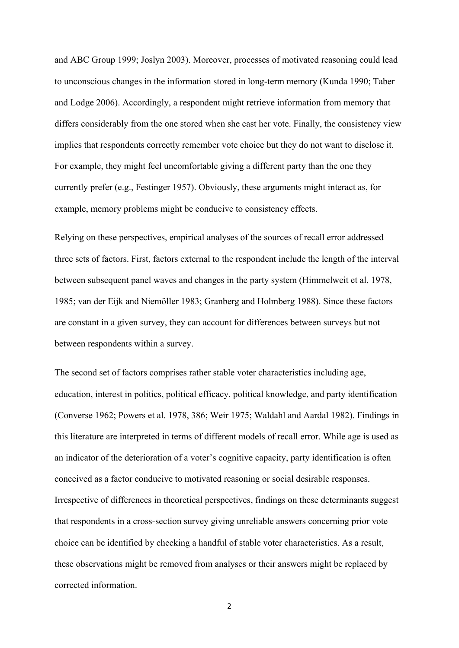and ABC Group 1999; Joslyn 2003). Moreover, processes of motivated reasoning could lead to unconscious changes in the information stored in long-term memory (Kunda 1990; Taber and Lodge 2006). Accordingly, a respondent might retrieve information from memory that differs considerably from the one stored when she cast her vote. Finally, the consistency view implies that respondents correctly remember vote choice but they do not want to disclose it. For example, they might feel uncomfortable giving a different party than the one they currently prefer (e.g., Festinger 1957). Obviously, these arguments might interact as, for example, memory problems might be conducive to consistency effects.

Relying on these perspectives, empirical analyses of the sources of recall error addressed three sets of factors. First, factors external to the respondent include the length of the interval between subsequent panel waves and changes in the party system (Himmelweit et al. 1978, 1985; van der Eijk and Niemöller 1983; Granberg and Holmberg 1988). Since these factors are constant in a given survey, they can account for differences between surveys but not between respondents within a survey.

The second set of factors comprises rather stable voter characteristics including age, education, interest in politics, political efficacy, political knowledge, and party identification (Converse 1962; Powers et al. 1978, 386; Weir 1975; Waldahl and Aardal 1982). Findings in this literature are interpreted in terms of different models of recall error. While age is used as an indicator of the deterioration of a voter's cognitive capacity, party identification is often conceived as a factor conducive to motivated reasoning or social desirable responses. Irrespective of differences in theoretical perspectives, findings on these determinants suggest that respondents in a cross-section survey giving unreliable answers concerning prior vote choice can be identified by checking a handful of stable voter characteristics. As a result, these observations might be removed from analyses or their answers might be replaced by corrected information.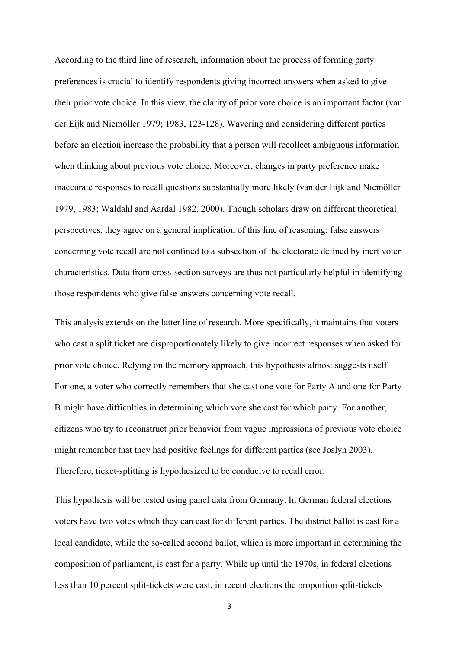According to the third line of research, information about the process of forming party preferences is crucial to identify respondents giving incorrect answers when asked to give their prior vote choice. In this view, the clarity of prior vote choice is an important factor (van der Eijk and Niemöller 1979; 1983, 123-128). Wavering and considering different parties before an election increase the probability that a person will recollect ambiguous information when thinking about previous vote choice. Moreover, changes in party preference make inaccurate responses to recall questions substantially more likely (van der Eijk and Niemöller 1979, 1983; Waldahl and Aardal 1982, 2000). Though scholars draw on different theoretical perspectives, they agree on a general implication of this line of reasoning: false answers concerning vote recall are not confined to a subsection of the electorate defined by inert voter characteristics. Data from cross-section surveys are thus not particularly helpful in identifying those respondents who give false answers concerning vote recall.

This analysis extends on the latter line of research. More specifically, it maintains that voters who cast a split ticket are disproportionately likely to give incorrect responses when asked for prior vote choice. Relying on the memory approach, this hypothesis almost suggests itself. For one, a voter who correctly remembers that she cast one vote for Party A and one for Party B might have difficulties in determining which vote she cast for which party. For another, citizens who try to reconstruct prior behavior from vague impressions of previous vote choice might remember that they had positive feelings for different parties (see Joslyn 2003). Therefore, ticket-splitting is hypothesized to be conducive to recall error.

This hypothesis will be tested using panel data from Germany. In German federal elections voters have two votes which they can cast for different parties. The district ballot is cast for a local candidate, while the so-called second ballot, which is more important in determining the composition of parliament, is cast for a party. While up until the 1970s, in federal elections less than 10 percent split-tickets were cast, in recent elections the proportion split-tickets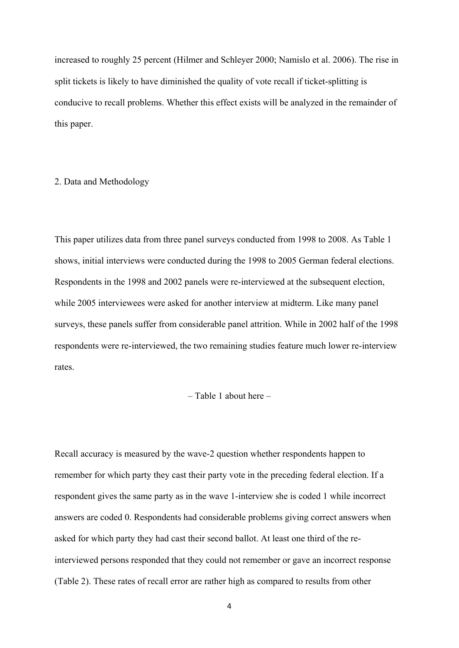increased to roughly 25 percent (Hilmer and Schleyer 2000; Namislo et al. 2006). The rise in split tickets is likely to have diminished the quality of vote recall if ticket-splitting is conducive to recall problems. Whether this effect exists will be analyzed in the remainder of this paper.

#### 2. Data and Methodology

This paper utilizes data from three panel surveys conducted from 1998 to 2008. As Table 1 shows, initial interviews were conducted during the 1998 to 2005 German federal elections. Respondents in the 1998 and 2002 panels were re-interviewed at the subsequent election, while 2005 interviewees were asked for another interview at midterm. Like many panel surveys, these panels suffer from considerable panel attrition. While in 2002 half of the 1998 respondents were re-interviewed, the two remaining studies feature much lower re-interview rates.

### – Table 1 about here –

Recall accuracy is measured by the wave-2 question whether respondents happen to remember for which party they cast their party vote in the preceding federal election. If a respondent gives the same party as in the wave 1-interview she is coded 1 while incorrect answers are coded 0. Respondents had considerable problems giving correct answers when asked for which party they had cast their second ballot. At least one third of the reinterviewed persons responded that they could not remember or gave an incorrect response (Table 2). These rates of recall error are rather high as compared to results from other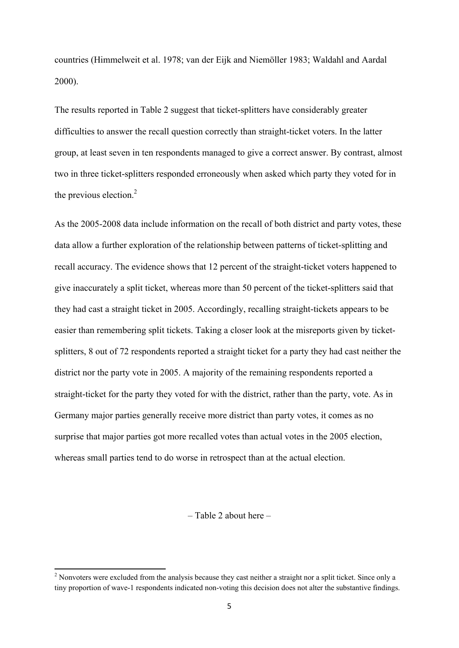countries (Himmelweit et al. 1978; van der Eijk and Niemöller 1983; Waldahl and Aardal 2000).

The results reported in Table 2 suggest that ticket-splitters have considerably greater difficulties to answer the recall question correctly than straight-ticket voters. In the latter group, at least seven in ten respondents managed to give a correct answer. By contrast, almost two in three ticket-splitters responded erroneously when asked which party they voted for in the previous election. $2$ 

As the 2005-2008 data include information on the recall of both district and party votes, these data allow a further exploration of the relationship between patterns of ticket-splitting and recall accuracy. The evidence shows that 12 percent of the straight-ticket voters happened to give inaccurately a split ticket, whereas more than 50 percent of the ticket-splitters said that they had cast a straight ticket in 2005. Accordingly, recalling straight-tickets appears to be easier than remembering split tickets. Taking a closer look at the misreports given by ticketsplitters, 8 out of 72 respondents reported a straight ticket for a party they had cast neither the district nor the party vote in 2005. A majority of the remaining respondents reported a straight-ticket for the party they voted for with the district, rather than the party, vote. As in Germany major parties generally receive more district than party votes, it comes as no surprise that major parties got more recalled votes than actual votes in the 2005 election, whereas small parties tend to do worse in retrospect than at the actual election.

– Table 2 about here –

<sup>&</sup>lt;sup>2</sup> Nonvoters were excluded from the analysis because they cast neither a straight nor a split ticket. Since only a tiny proportion of wave-1 respondents indicated non-voting this decision does not alter the substantive findings.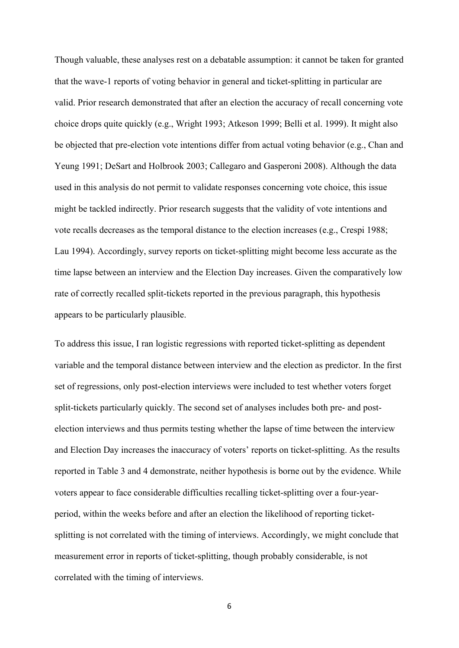Though valuable, these analyses rest on a debatable assumption: it cannot be taken for granted that the wave-1 reports of voting behavior in general and ticket-splitting in particular are valid. Prior research demonstrated that after an election the accuracy of recall concerning vote choice drops quite quickly (e.g., Wright 1993; Atkeson 1999; Belli et al. 1999). It might also be objected that pre-election vote intentions differ from actual voting behavior (e.g., Chan and Yeung 1991; DeSart and Holbrook 2003; Callegaro and Gasperoni 2008). Although the data used in this analysis do not permit to validate responses concerning vote choice, this issue might be tackled indirectly. Prior research suggests that the validity of vote intentions and vote recalls decreases as the temporal distance to the election increases (e.g., Crespi 1988; Lau 1994). Accordingly, survey reports on ticket-splitting might become less accurate as the time lapse between an interview and the Election Day increases. Given the comparatively low rate of correctly recalled split-tickets reported in the previous paragraph, this hypothesis appears to be particularly plausible.

To address this issue, I ran logistic regressions with reported ticket-splitting as dependent variable and the temporal distance between interview and the election as predictor. In the first set of regressions, only post-election interviews were included to test whether voters forget split-tickets particularly quickly. The second set of analyses includes both pre- and postelection interviews and thus permits testing whether the lapse of time between the interview and Election Day increases the inaccuracy of voters' reports on ticket-splitting. As the results reported in Table 3 and 4 demonstrate, neither hypothesis is borne out by the evidence. While voters appear to face considerable difficulties recalling ticket-splitting over a four-yearperiod, within the weeks before and after an election the likelihood of reporting ticketsplitting is not correlated with the timing of interviews. Accordingly, we might conclude that measurement error in reports of ticket-splitting, though probably considerable, is not correlated with the timing of interviews.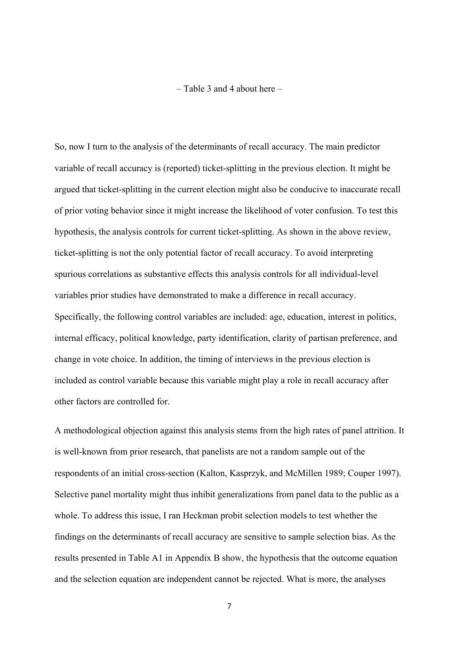– Table 3 and 4 about here –

So, now I turn to the analysis of the determinants of recall accuracy. The main predictor variable of recall accuracy is (reported) ticket-splitting in the previous election. It might be argued that ticket-splitting in the current election might also be conducive to inaccurate recall of prior voting behavior since it might increase the likelihood of voter confusion. To test this hypothesis, the analysis controls for current ticket-splitting. As shown in the above review, ticket-splitting is not the only potential factor of recall accuracy. To avoid interpreting spurious correlations as substantive effects this analysis controls for all individual-level variables prior studies have demonstrated to make a difference in recall accuracy. Specifically, the following control variables are included: age, education, interest in politics, internal efficacy, political knowledge, party identification, clarity of partisan preference, and change in vote choice. In addition, the timing of interviews in the previous election is included as control variable because this variable might play a role in recall accuracy after other factors are controlled for.

A methodological objection against this analysis stems from the high rates of panel attrition. It is well-known from prior research, that panelists are not a random sample out of the respondents of an initial cross-section (Kalton, Kasprzyk, and McMillen 1989; Couper 1997). Selective panel mortality might thus inhibit generalizations from panel data to the public as a whole. To address this issue, I ran Heckman probit selection models to test whether the findings on the determinants of recall accuracy are sensitive to sample selection bias. As the results presented in Table A1 in Appendix B show, the hypothesis that the outcome equation and the selection equation are independent cannot be rejected. What is more, the analyses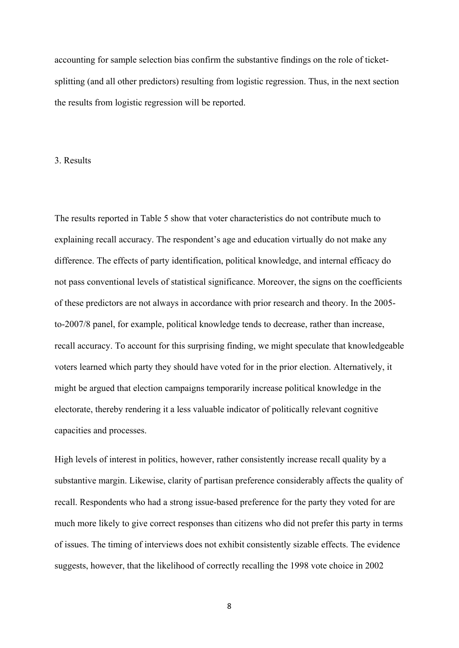accounting for sample selection bias confirm the substantive findings on the role of ticketsplitting (and all other predictors) resulting from logistic regression. Thus, in the next section the results from logistic regression will be reported.

### 3. Results

The results reported in Table 5 show that voter characteristics do not contribute much to explaining recall accuracy. The respondent's age and education virtually do not make any difference. The effects of party identification, political knowledge, and internal efficacy do not pass conventional levels of statistical significance. Moreover, the signs on the coefficients of these predictors are not always in accordance with prior research and theory. In the 2005 to-2007/8 panel, for example, political knowledge tends to decrease, rather than increase, recall accuracy. To account for this surprising finding, we might speculate that knowledgeable voters learned which party they should have voted for in the prior election. Alternatively, it might be argued that election campaigns temporarily increase political knowledge in the electorate, thereby rendering it a less valuable indicator of politically relevant cognitive capacities and processes.

High levels of interest in politics, however, rather consistently increase recall quality by a substantive margin. Likewise, clarity of partisan preference considerably affects the quality of recall. Respondents who had a strong issue-based preference for the party they voted for are much more likely to give correct responses than citizens who did not prefer this party in terms of issues. The timing of interviews does not exhibit consistently sizable effects. The evidence suggests, however, that the likelihood of correctly recalling the 1998 vote choice in 2002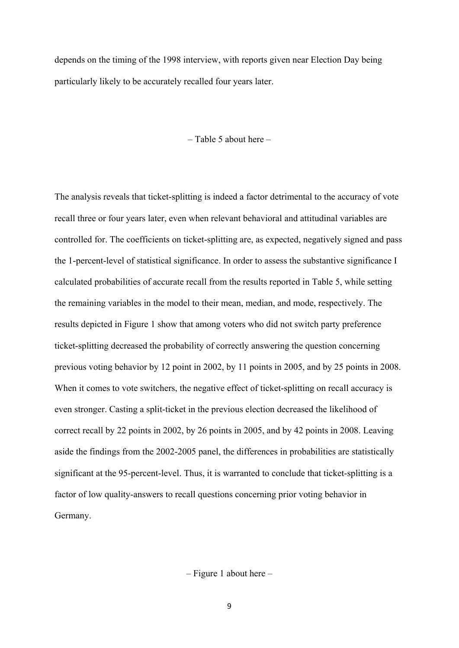depends on the timing of the 1998 interview, with reports given near Election Day being particularly likely to be accurately recalled four years later.

– Table 5 about here –

The analysis reveals that ticket-splitting is indeed a factor detrimental to the accuracy of vote recall three or four years later, even when relevant behavioral and attitudinal variables are controlled for. The coefficients on ticket-splitting are, as expected, negatively signed and pass the 1-percent-level of statistical significance. In order to assess the substantive significance I calculated probabilities of accurate recall from the results reported in Table 5, while setting the remaining variables in the model to their mean, median, and mode, respectively. The results depicted in Figure 1 show that among voters who did not switch party preference ticket-splitting decreased the probability of correctly answering the question concerning previous voting behavior by 12 point in 2002, by 11 points in 2005, and by 25 points in 2008. When it comes to vote switchers, the negative effect of ticket-splitting on recall accuracy is even stronger. Casting a split-ticket in the previous election decreased the likelihood of correct recall by 22 points in 2002, by 26 points in 2005, and by 42 points in 2008. Leaving aside the findings from the 2002-2005 panel, the differences in probabilities are statistically significant at the 95-percent-level. Thus, it is warranted to conclude that ticket-splitting is a factor of low quality-answers to recall questions concerning prior voting behavior in Germany.

– Figure 1 about here –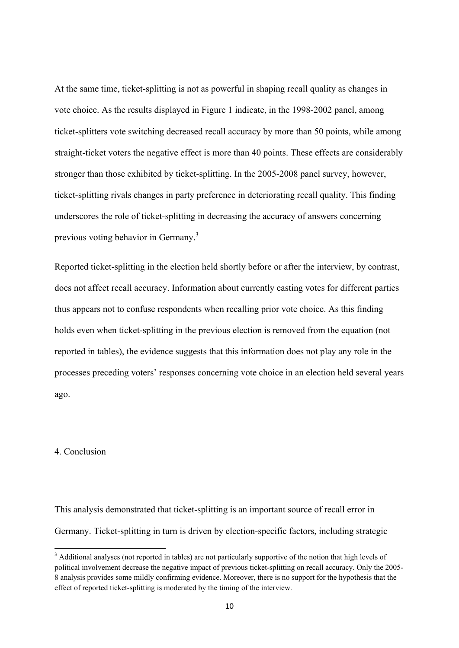At the same time, ticket-splitting is not as powerful in shaping recall quality as changes in vote choice. As the results displayed in Figure 1 indicate, in the 1998-2002 panel, among ticket-splitters vote switching decreased recall accuracy by more than 50 points, while among straight-ticket voters the negative effect is more than 40 points. These effects are considerably stronger than those exhibited by ticket-splitting. In the 2005-2008 panel survey, however, ticket-splitting rivals changes in party preference in deteriorating recall quality. This finding underscores the role of ticket-splitting in decreasing the accuracy of answers concerning previous voting behavior in Germany.<sup>3</sup>

Reported ticket-splitting in the election held shortly before or after the interview, by contrast, does not affect recall accuracy. Information about currently casting votes for different parties thus appears not to confuse respondents when recalling prior vote choice. As this finding holds even when ticket-splitting in the previous election is removed from the equation (not reported in tables), the evidence suggests that this information does not play any role in the processes preceding voters' responses concerning vote choice in an election held several years ago.

# 4. Conclusion

This analysis demonstrated that ticket-splitting is an important source of recall error in Germany. Ticket-splitting in turn is driven by election-specific factors, including strategic

<sup>&</sup>lt;sup>3</sup> Additional analyses (not reported in tables) are not particularly supportive of the notion that high levels of political involvement decrease the negative impact of previous ticket-splitting on recall accuracy. Only the 2005- 8 analysis provides some mildly confirming evidence. Moreover, there is no support for the hypothesis that the effect of reported ticket-splitting is moderated by the timing of the interview.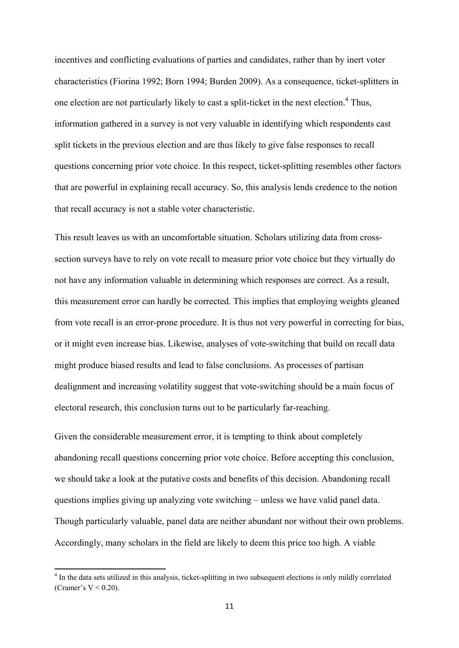incentives and conflicting evaluations of parties and candidates, rather than by inert voter characteristics (Fiorina 1992; Born 1994; Burden 2009). As a consequence, ticket-splitters in one election are not particularly likely to cast a split-ticket in the next election. $4$  Thus, information gathered in a survey is not very valuable in identifying which respondents cast split tickets in the previous election and are thus likely to give false responses to recall questions concerning prior vote choice. In this respect, ticket-splitting resembles other factors that are powerful in explaining recall accuracy. So, this analysis lends credence to the notion that recall accuracy is not a stable voter characteristic.

This result leaves us with an uncomfortable situation. Scholars utilizing data from crosssection surveys have to rely on vote recall to measure prior vote choice but they virtually do not have any information valuable in determining which responses are correct. As a result, this measurement error can hardly be corrected. This implies that employing weights gleaned from vote recall is an error-prone procedure. It is thus not very powerful in correcting for bias, or it might even increase bias. Likewise, analyses of vote-switching that build on recall data might produce biased results and lead to false conclusions. As processes of partisan dealignment and increasing volatility suggest that vote-switching should be a main focus of electoral research, this conclusion turns out to be particularly far-reaching.

Given the considerable measurement error, it is tempting to think about completely abandoning recall questions concerning prior vote choice. Before accepting this conclusion, we should take a look at the putative costs and benefits of this decision. Abandoning recall questions implies giving up analyzing vote switching – unless we have valid panel data. Though particularly valuable, panel data are neither abundant nor without their own problems. Accordingly, many scholars in the field are likely to deem this price too high. A viable

<sup>&</sup>lt;sup>4</sup> In the data sets utilized in this analysis, ticket-splitting in two subsequent elections is only mildly correlated (Cramer's  $V < 0.20$ ).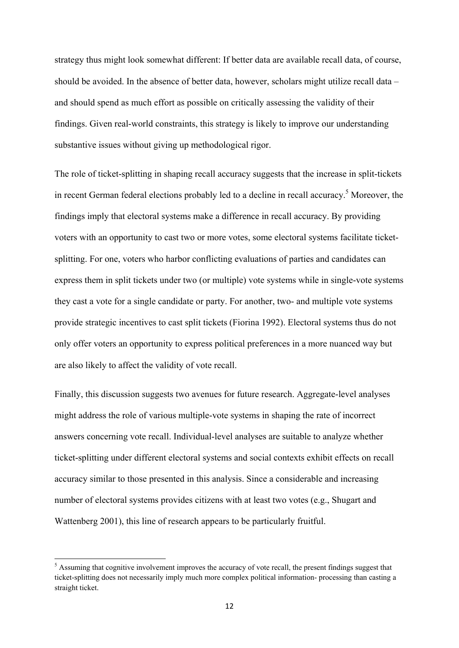strategy thus might look somewhat different: If better data are available recall data, of course, should be avoided. In the absence of better data, however, scholars might utilize recall data – and should spend as much effort as possible on critically assessing the validity of their findings. Given real-world constraints, this strategy is likely to improve our understanding substantive issues without giving up methodological rigor.

The role of ticket-splitting in shaping recall accuracy suggests that the increase in split-tickets in recent German federal elections probably led to a decline in recall accuracy.<sup>5</sup> Moreover, the findings imply that electoral systems make a difference in recall accuracy. By providing voters with an opportunity to cast two or more votes, some electoral systems facilitate ticketsplitting. For one, voters who harbor conflicting evaluations of parties and candidates can express them in split tickets under two (or multiple) vote systems while in single-vote systems they cast a vote for a single candidate or party. For another, two- and multiple vote systems provide strategic incentives to cast split tickets (Fiorina 1992). Electoral systems thus do not only offer voters an opportunity to express political preferences in a more nuanced way but are also likely to affect the validity of vote recall.

Finally, this discussion suggests two avenues for future research. Aggregate-level analyses might address the role of various multiple-vote systems in shaping the rate of incorrect answers concerning vote recall. Individual-level analyses are suitable to analyze whether ticket-splitting under different electoral systems and social contexts exhibit effects on recall accuracy similar to those presented in this analysis. Since a considerable and increasing number of electoral systems provides citizens with at least two votes (e.g., Shugart and Wattenberg 2001), this line of research appears to be particularly fruitful.

<sup>&</sup>lt;sup>5</sup> Assuming that cognitive involvement improves the accuracy of vote recall, the present findings suggest that ticket-splitting does not necessarily imply much more complex political information- processing than casting a straight ticket.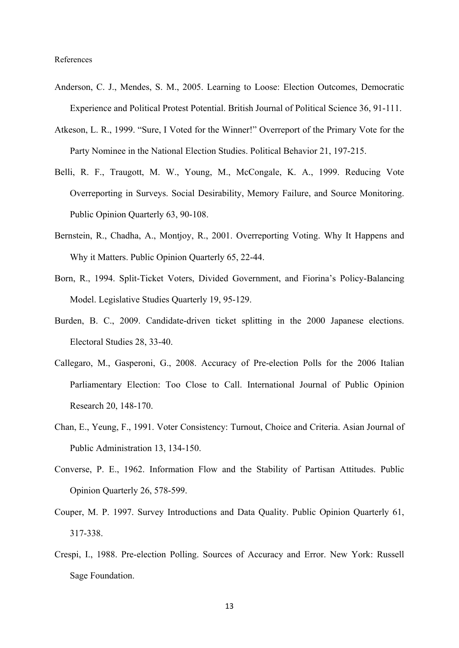- Anderson, C. J., Mendes, S. M., 2005. Learning to Loose: Election Outcomes, Democratic Experience and Political Protest Potential. British Journal of Political Science 36, 91-111.
- Atkeson, L. R., 1999. "Sure, I Voted for the Winner!" Overreport of the Primary Vote for the Party Nominee in the National Election Studies. Political Behavior 21, 197-215.
- Belli, R. F., Traugott, M. W., Young, M., McCongale, K. A., 1999. Reducing Vote Overreporting in Surveys. Social Desirability, Memory Failure, and Source Monitoring. Public Opinion Quarterly 63, 90-108.
- Bernstein, R., Chadha, A., Montjoy, R., 2001. Overreporting Voting. Why It Happens and Why it Matters. Public Opinion Quarterly 65, 22-44.
- Born, R., 1994. Split-Ticket Voters, Divided Government, and Fiorina's Policy-Balancing Model. Legislative Studies Quarterly 19, 95-129.
- Burden, B. C., 2009. Candidate-driven ticket splitting in the 2000 Japanese elections. Electoral Studies 28, 33-40.
- Callegaro, M., Gasperoni, G., 2008. Accuracy of Pre-election Polls for the 2006 Italian Parliamentary Election: Too Close to Call. International Journal of Public Opinion Research 20, 148-170.
- Chan, E., Yeung, F., 1991. Voter Consistency: Turnout, Choice and Criteria. Asian Journal of Public Administration 13, 134-150.
- Converse, P. E., 1962. Information Flow and the Stability of Partisan Attitudes. Public Opinion Quarterly 26, 578-599.
- Couper, M. P. 1997. Survey Introductions and Data Quality. Public Opinion Quarterly 61, 317-338.
- Crespi, I., 1988. Pre-election Polling. Sources of Accuracy and Error. New York: Russell Sage Foundation.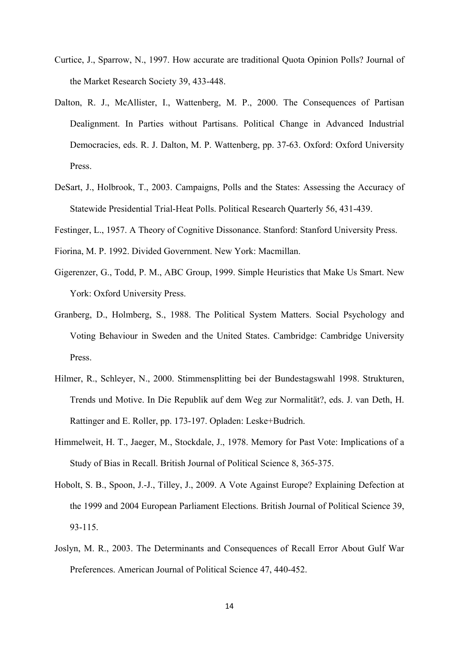- Curtice, J., Sparrow, N., 1997. How accurate are traditional Quota Opinion Polls? Journal of the Market Research Society 39, 433-448.
- Dalton, R. J., McAllister, I., Wattenberg, M. P., 2000. The Consequences of Partisan Dealignment. In Parties without Partisans. Political Change in Advanced Industrial Democracies, eds. R. J. Dalton, M. P. Wattenberg, pp. 37-63. Oxford: Oxford University Press.
- DeSart, J., Holbrook, T., 2003. Campaigns, Polls and the States: Assessing the Accuracy of Statewide Presidential Trial-Heat Polls. Political Research Quarterly 56, 431-439.
- Festinger, L., 1957. A Theory of Cognitive Dissonance. Stanford: Stanford University Press.
- Fiorina, M. P. 1992. Divided Government. New York: Macmillan.
- Gigerenzer, G., Todd, P. M., ABC Group, 1999. Simple Heuristics that Make Us Smart. New York: Oxford University Press.
- Granberg, D., Holmberg, S., 1988. The Political System Matters. Social Psychology and Voting Behaviour in Sweden and the United States. Cambridge: Cambridge University Press.
- Hilmer, R., Schleyer, N., 2000. Stimmensplitting bei der Bundestagswahl 1998. Strukturen, Trends und Motive. In Die Republik auf dem Weg zur Normalität?, eds. J. van Deth, H. Rattinger and E. Roller, pp. 173-197. Opladen: Leske+Budrich.
- Himmelweit, H. T., Jaeger, M., Stockdale, J., 1978. Memory for Past Vote: Implications of a Study of Bias in Recall. British Journal of Political Science 8, 365-375.
- Hobolt, S. B., Spoon, J.-J., Tilley, J., 2009. A Vote Against Europe? Explaining Defection at the 1999 and 2004 European Parliament Elections. British Journal of Political Science 39, 93-115.
- Joslyn, M. R., 2003. The Determinants and Consequences of Recall Error About Gulf War Preferences. American Journal of Political Science 47, 440-452.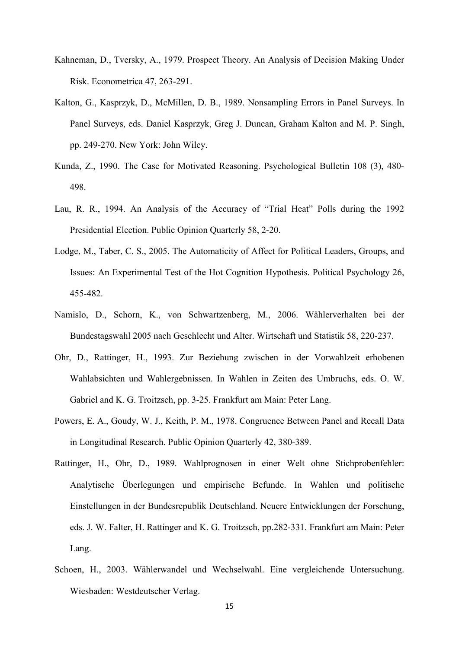- Kahneman, D., Tversky, A., 1979. Prospect Theory. An Analysis of Decision Making Under Risk. Econometrica 47, 263-291.
- Kalton, G., Kasprzyk, D., McMillen, D. B., 1989. Nonsampling Errors in Panel Surveys. In Panel Surveys, eds. Daniel Kasprzyk, Greg J. Duncan, Graham Kalton and M. P. Singh, pp. 249-270. New York: John Wiley.
- Kunda, Z., 1990. The Case for Motivated Reasoning. Psychological Bulletin 108 (3), 480- 498.
- Lau, R. R., 1994. An Analysis of the Accuracy of "Trial Heat" Polls during the 1992 Presidential Election. Public Opinion Quarterly 58, 2-20.
- Lodge, M., Taber, C. S., 2005. The Automaticity of Affect for Political Leaders, Groups, and Issues: An Experimental Test of the Hot Cognition Hypothesis. Political Psychology 26, 455-482.
- Namislo, D., Schorn, K., von Schwartzenberg, M., 2006. Wählerverhalten bei der Bundestagswahl 2005 nach Geschlecht und Alter. Wirtschaft und Statistik 58, 220-237.
- Ohr, D., Rattinger, H., 1993. Zur Beziehung zwischen in der Vorwahlzeit erhobenen Wahlabsichten und Wahlergebnissen. In Wahlen in Zeiten des Umbruchs, eds. O. W. Gabriel and K. G. Troitzsch, pp. 3-25. Frankfurt am Main: Peter Lang.
- Powers, E. A., Goudy, W. J., Keith, P. M., 1978. Congruence Between Panel and Recall Data in Longitudinal Research. Public Opinion Quarterly 42, 380-389.
- Rattinger, H., Ohr, D., 1989. Wahlprognosen in einer Welt ohne Stichprobenfehler: Analytische Überlegungen und empirische Befunde. In Wahlen und politische Einstellungen in der Bundesrepublik Deutschland. Neuere Entwicklungen der Forschung, eds. J. W. Falter, H. Rattinger and K. G. Troitzsch, pp.282-331. Frankfurt am Main: Peter Lang.
- Schoen, H., 2003. Wählerwandel und Wechselwahl. Eine vergleichende Untersuchung. Wiesbaden: Westdeutscher Verlag.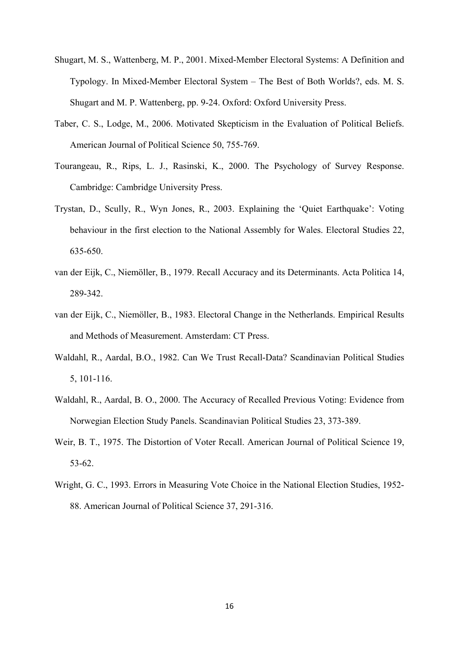- Shugart, M. S., Wattenberg, M. P., 2001. Mixed-Member Electoral Systems: A Definition and Typology. In Mixed-Member Electoral System – The Best of Both Worlds?, eds. M. S. Shugart and M. P. Wattenberg, pp. 9-24. Oxford: Oxford University Press.
- Taber, C. S., Lodge, M., 2006. Motivated Skepticism in the Evaluation of Political Beliefs. American Journal of Political Science 50, 755-769.
- Tourangeau, R., Rips, L. J., Rasinski, K., 2000. The Psychology of Survey Response. Cambridge: Cambridge University Press.
- Trystan, D., Scully, R., Wyn Jones, R., 2003. Explaining the 'Quiet Earthquake': Voting behaviour in the first election to the National Assembly for Wales. Electoral Studies 22, 635-650.
- van der Eijk, C., Niemöller, B., 1979. Recall Accuracy and its Determinants. Acta Politica 14, 289-342.
- van der Eijk, C., Niemöller, B., 1983. Electoral Change in the Netherlands. Empirical Results and Methods of Measurement. Amsterdam: CT Press.
- Waldahl, R., Aardal, B.O., 1982. Can We Trust Recall-Data? Scandinavian Political Studies 5, 101-116.
- Waldahl, R., Aardal, B. O., 2000. The Accuracy of Recalled Previous Voting: Evidence from Norwegian Election Study Panels. Scandinavian Political Studies 23, 373-389.
- Weir, B. T., 1975. The Distortion of Voter Recall. American Journal of Political Science 19, 53-62.
- Wright, G. C., 1993. Errors in Measuring Vote Choice in the National Election Studies, 1952- 88. American Journal of Political Science 37, 291-316.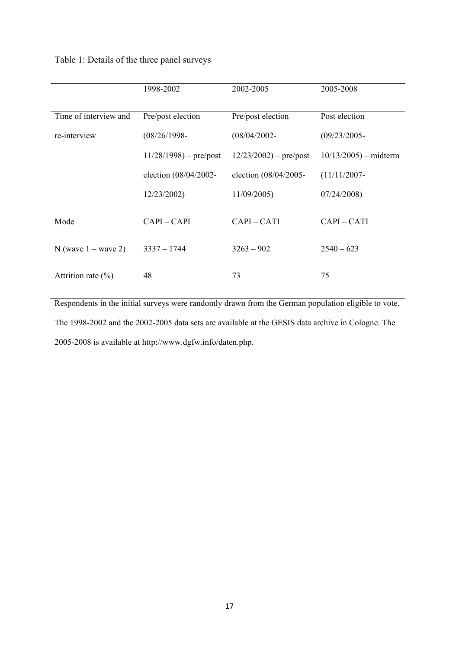# Table 1: Details of the three panel surveys

|                        | 1998-2002               | 2002-2005                 | 2005-2008              |
|------------------------|-------------------------|---------------------------|------------------------|
| Time of interview and  | Pre/post election       | Pre/post election         | Post election          |
| re-interview           | $(08/26/1998 -$         | $(08/04/2002 -$           | $(09/23/2005 -$        |
|                        | $11/28/1998$ – pre/post | $12/23/2002$ ) – pre/post | $10/13/2005$ – midterm |
|                        | election (08/04/2002-   | election (08/04/2005-     | $(11/11/2007 -$        |
|                        | 12/23/2002)             | 11/09/2005                | 07/24/2008             |
| Mode                   | $CAPI - CAPI$           | $CAPI - CATI$             | CAPI-CATI              |
| N (wave $1 -$ wave 2)  | $3337 - 1744$           | $3263 - 902$              | $2540 - 623$           |
| Attrition rate $(\% )$ | 48                      | 73                        | 75                     |

Respondents in the initial surveys were randomly drawn from the German population eligible to vote. The 1998-2002 and the 2002-2005 data sets are available at the GESIS data archive in Cologne. The 2005-2008 is available at http://www.dgfw.info/daten.php.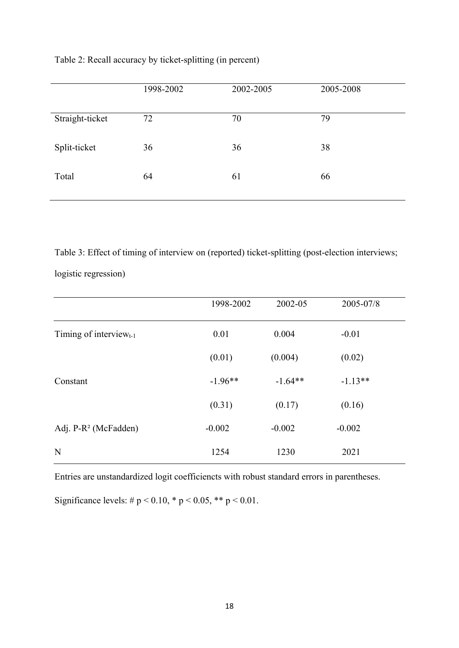| Table 2: Recall accuracy by ticket-splitting (in percent) |  |  |  |
|-----------------------------------------------------------|--|--|--|
|-----------------------------------------------------------|--|--|--|

|                 | 1998-2002 | 2002-2005 | 2005-2008 |
|-----------------|-----------|-----------|-----------|
| Straight-ticket | 72        | 70        | 79        |
| Split-ticket    | 36        | 36        | 38        |
| Total           | 64        | 61        | 66        |

Table 3: Effect of timing of interview on (reported) ticket-splitting (post-election interviews;

logistic regression)

|                                  | 1998-2002 | 2002-05   | 2005-07/8 |  |
|----------------------------------|-----------|-----------|-----------|--|
| Timing of interview $_{t-1}$     | 0.01      | 0.004     | $-0.01$   |  |
|                                  | (0.01)    | (0.004)   | (0.02)    |  |
| Constant                         | $-1.96**$ | $-1.64**$ | $-1.13**$ |  |
|                                  | (0.31)    | (0.17)    | (0.16)    |  |
| Adj. P-R <sup>2</sup> (McFadden) | $-0.002$  | $-0.002$  | $-0.002$  |  |
| N                                | 1254      | 1230      | 2021      |  |

Entries are unstandardized logit coefficiencts with robust standard errors in parentheses.

Significance levels:  $\# p \lt 0.10$ ,  $* p \lt 0.05$ ,  $** p \lt 0.01$ .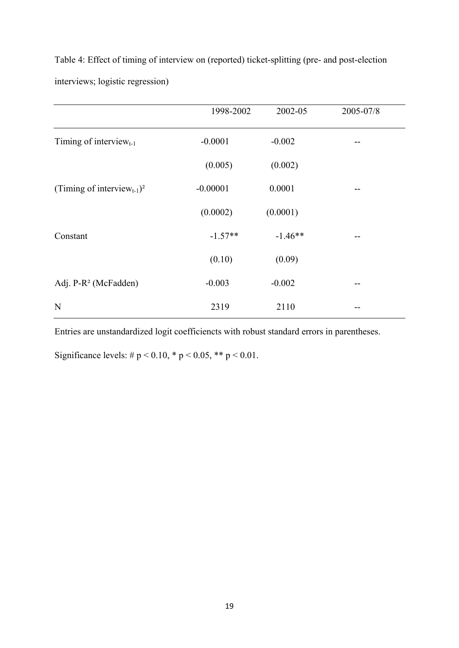Table 4: Effect of timing of interview on (reported) ticket-splitting (pre- and post-election interviews; logistic regression)

|                                                    | 1998-2002  | 2002-05   | 2005-07/8 |
|----------------------------------------------------|------------|-----------|-----------|
| Timing of interview $_{t-1}$                       | $-0.0001$  | $-0.002$  | --        |
|                                                    | (0.005)    | (0.002)   |           |
| (Timing of interview <sub>t-1</sub> ) <sup>2</sup> | $-0.00001$ | 0.0001    | --        |
|                                                    | (0.0002)   | (0.0001)  |           |
| Constant                                           | $-1.57**$  | $-1.46**$ | --        |
|                                                    | (0.10)     | (0.09)    |           |
| Adj. P-R <sup>2</sup> (McFadden)                   | $-0.003$   | $-0.002$  | --        |
| $\mathbf N$                                        | 2319       | 2110      |           |

Entries are unstandardized logit coefficiencts with robust standard errors in parentheses.

Significance levels: #  $p < 0.10$ , \*  $p < 0.05$ , \*\*  $p < 0.01$ .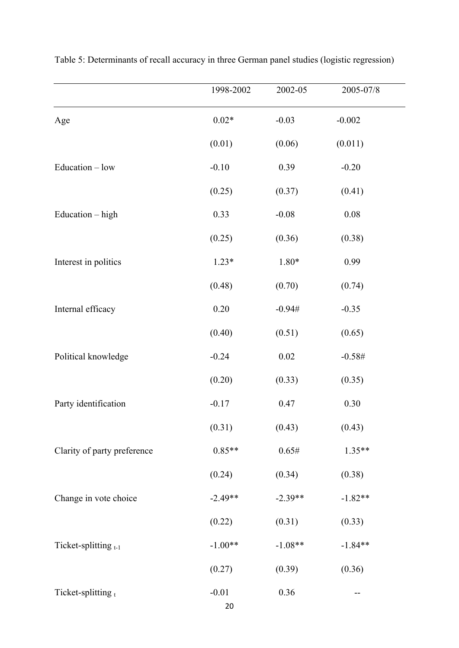|                             | 1998-2002     | 2002-05   | 2005-07/8 |  |
|-----------------------------|---------------|-----------|-----------|--|
| Age                         | $0.02*$       | $-0.03$   | $-0.002$  |  |
|                             | (0.01)        | (0.06)    | (0.011)   |  |
| Education - low             | $-0.10$       | 0.39      | $-0.20$   |  |
|                             | (0.25)        | (0.37)    | (0.41)    |  |
| Education - high            | 0.33          | $-0.08$   | $0.08\,$  |  |
|                             | (0.25)        | (0.36)    | (0.38)    |  |
| Interest in politics        | $1.23*$       | $1.80*$   | 0.99      |  |
|                             | (0.48)        | (0.70)    | (0.74)    |  |
| Internal efficacy           | $0.20\,$      | $-0.94#$  | $-0.35$   |  |
|                             | (0.40)        | (0.51)    | (0.65)    |  |
| Political knowledge         | $-0.24$       | 0.02      | $-0.58#$  |  |
|                             | (0.20)        | (0.33)    | (0.35)    |  |
| Party identification        | $-0.17$       | 0.47      | 0.30      |  |
|                             | (0.31)        | (0.43)    | (0.43)    |  |
| Clarity of party preference | $0.85**$      | 0.65#     | $1.35**$  |  |
|                             | (0.24)        | (0.34)    | (0.38)    |  |
| Change in vote choice       | $-2.49**$     | $-2.39**$ | $-1.82**$ |  |
|                             | (0.22)        | (0.31)    | (0.33)    |  |
| Ticket-splitting $t-1$      | $-1.00**$     | $-1.08**$ | $-1.84**$ |  |
|                             | (0.27)        | (0.39)    | (0.36)    |  |
| Ticket-splitting $t$        | $-0.01$<br>20 | $0.36\,$  | --        |  |

| Table 5: Determinants of recall accuracy in three German panel studies (logistic regression) |  |  |  |  |
|----------------------------------------------------------------------------------------------|--|--|--|--|
|                                                                                              |  |  |  |  |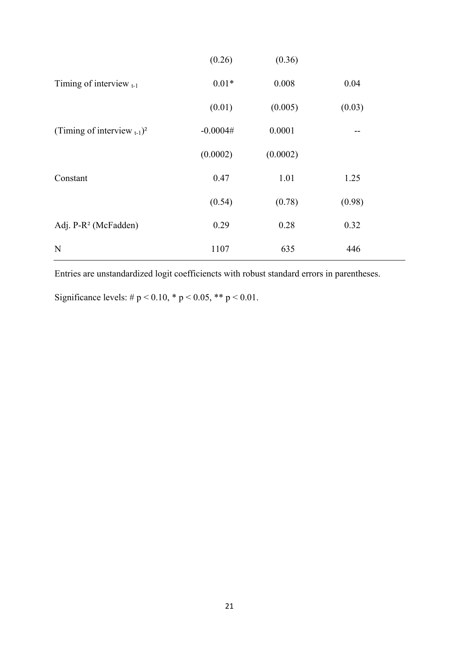|                                              | (0.26)     | (0.36)   |        |
|----------------------------------------------|------------|----------|--------|
| Timing of interview $_{t-1}$                 | $0.01*$    | 0.008    | 0.04   |
|                                              | (0.01)     | (0.005)  | (0.03) |
| (Timing of interview $_{t-1}$ ) <sup>2</sup> | $-0.0004#$ | 0.0001   | --     |
|                                              | (0.0002)   | (0.0002) |        |
| Constant                                     | 0.47       | 1.01     | 1.25   |
|                                              | (0.54)     | (0.78)   | (0.98) |
| Adj. P-R <sup>2</sup> (McFadden)             | 0.29       | 0.28     | 0.32   |
| N                                            | 1107       | 635      | 446    |

Entries are unstandardized logit coefficiencts with robust standard errors in parentheses.

Significance levels: #  $p < 0.10$ , \*  $p < 0.05$ , \*\*  $p < 0.01$ .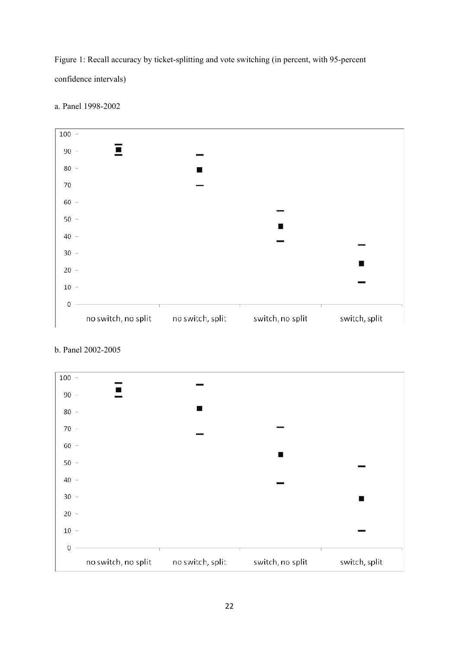Figure 1: Recall accuracy by ticket-splitting and vote switching (in percent, with 95-percent confidence intervals)



a. Panel 1998-2002



# b. Panel 2002-2005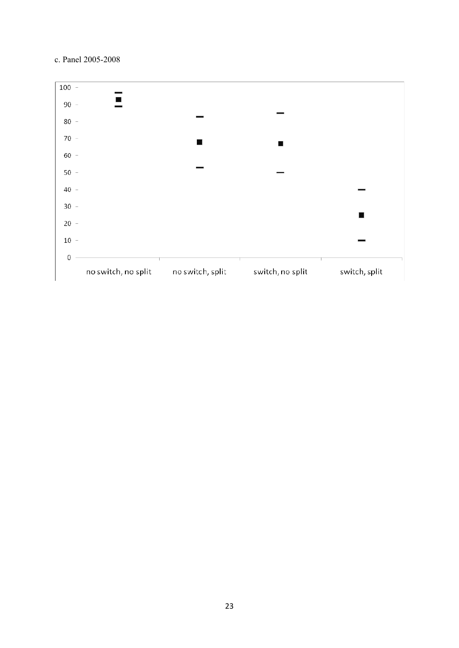### c. Panel 2005-2008

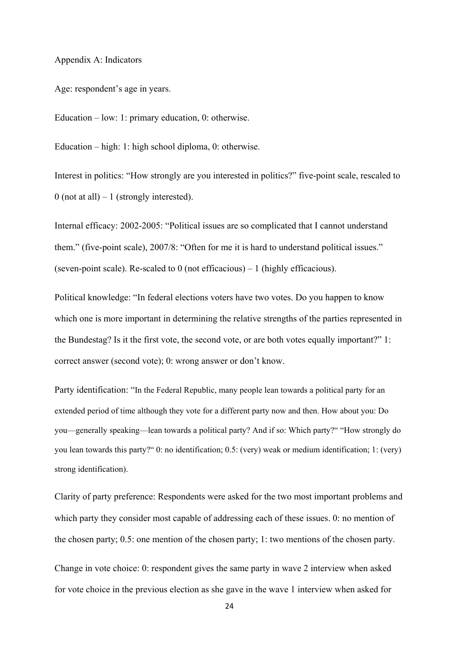Appendix A: Indicators

Age: respondent's age in years.

Education – low: 1: primary education, 0: otherwise.

Education – high: 1: high school diploma, 0: otherwise.

Interest in politics: "How strongly are you interested in politics?" five-point scale, rescaled to  $0$  (not at all) – 1 (strongly interested).

Internal efficacy: 2002-2005: "Political issues are so complicated that I cannot understand them." (five-point scale), 2007/8: "Often for me it is hard to understand political issues." (seven-point scale). Re-scaled to 0 (not efficacious) – 1 (highly efficacious).

Political knowledge: "In federal elections voters have two votes. Do you happen to know which one is more important in determining the relative strengths of the parties represented in the Bundestag? Is it the first vote, the second vote, or are both votes equally important?" 1: correct answer (second vote); 0: wrong answer or don't know.

Party identification: "In the Federal Republic, many people lean towards a political party for an extended period of time although they vote for a different party now and then. How about you: Do you—generally speaking—lean towards a political party? And if so: Which party?" "How strongly do you lean towards this party?" 0: no identification; 0.5: (very) weak or medium identification; 1: (very) strong identification).

Clarity of party preference: Respondents were asked for the two most important problems and which party they consider most capable of addressing each of these issues. 0: no mention of the chosen party; 0.5: one mention of the chosen party; 1: two mentions of the chosen party.

Change in vote choice: 0: respondent gives the same party in wave 2 interview when asked for vote choice in the previous election as she gave in the wave 1 interview when asked for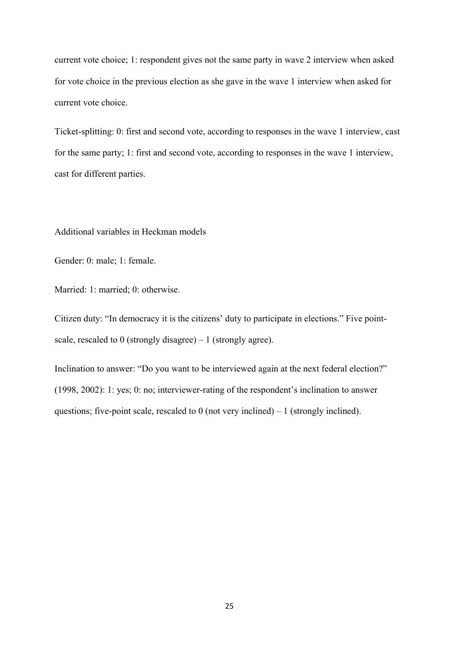current vote choice; 1: respondent gives not the same party in wave 2 interview when asked for vote choice in the previous election as she gave in the wave 1 interview when asked for current vote choice.

Ticket-splitting: 0: first and second vote, according to responses in the wave 1 interview, cast for the same party; 1: first and second vote, according to responses in the wave 1 interview, cast for different parties.

Additional variables in Heckman models

Gender: 0: male; 1: female.

Married: 1: married; 0: otherwise.

Citizen duty: "In democracy it is the citizens' duty to participate in elections." Five pointscale, rescaled to 0 (strongly disagree) – 1 (strongly agree).

Inclination to answer: "Do you want to be interviewed again at the next federal election?" (1998, 2002): 1: yes; 0: no; interviewer-rating of the respondent's inclination to answer questions; five-point scale, rescaled to  $0$  (not very inclined) – 1 (strongly inclined).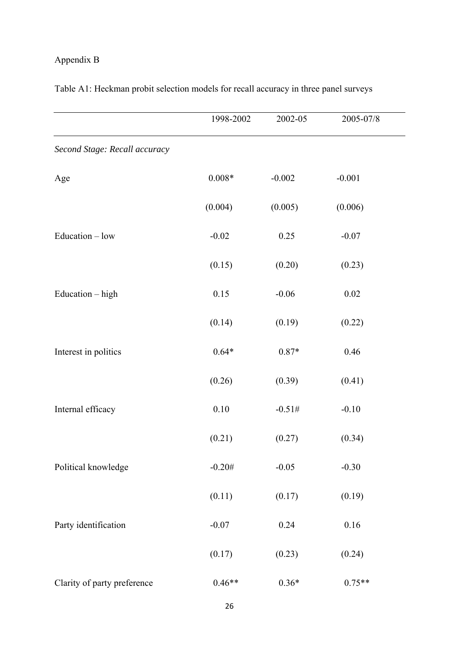# Appendix B

|                               | 1998-2002 | 2002-05  | 2005-07/8 |  |
|-------------------------------|-----------|----------|-----------|--|
| Second Stage: Recall accuracy |           |          |           |  |
| Age                           | $0.008*$  | $-0.002$ | $-0.001$  |  |
|                               | (0.004)   | (0.005)  | (0.006)   |  |
| $Education - low$             | $-0.02$   | 0.25     | $-0.07$   |  |
|                               | (0.15)    | (0.20)   | (0.23)    |  |
| Education - high              | 0.15      | $-0.06$  | $0.02\,$  |  |
|                               | (0.14)    | (0.19)   | (0.22)    |  |
| Interest in politics          | $0.64*$   | $0.87*$  | 0.46      |  |
|                               | (0.26)    | (0.39)   | (0.41)    |  |
| Internal efficacy             | $0.10\,$  | $-0.51#$ | $-0.10$   |  |
|                               | (0.21)    | (0.27)   | (0.34)    |  |
| Political knowledge           | $-0.20#$  | $-0.05$  | $-0.30$   |  |
|                               | (0.11)    | (0.17)   | (0.19)    |  |
| Party identification          | $-0.07$   | 0.24     | $0.16\,$  |  |
|                               | (0.17)    | (0.23)   | (0.24)    |  |
| Clarity of party preference   | $0.46**$  | $0.36*$  | $0.75**$  |  |

Table A1: Heckman probit selection models for recall accuracy in three panel surveys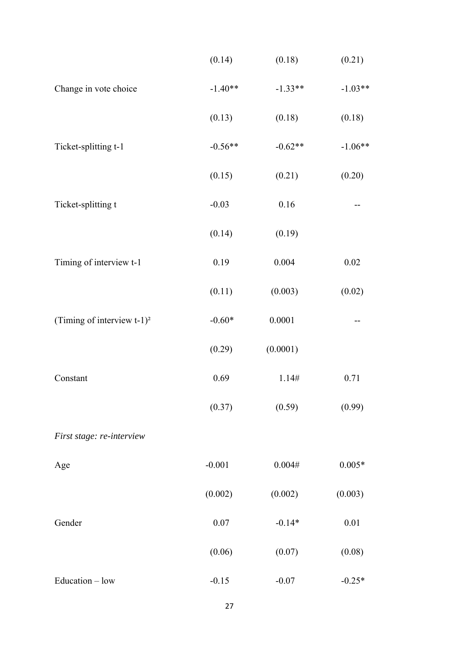|                                           | (0.14)    | (0.18)    | (0.21)    |
|-------------------------------------------|-----------|-----------|-----------|
| Change in vote choice                     | $-1.40**$ | $-1.33**$ | $-1.03**$ |
|                                           | (0.13)    | (0.18)    | (0.18)    |
| Ticket-splitting t-1                      | $-0.56**$ | $-0.62**$ | $-1.06**$ |
|                                           | (0.15)    | (0.21)    | (0.20)    |
| Ticket-splitting t                        | $-0.03$   | 0.16      |           |
|                                           | (0.14)    | (0.19)    |           |
| Timing of interview t-1                   | 0.19      | 0.004     | $0.02\,$  |
|                                           | (0.11)    | (0.003)   | (0.02)    |
| (Timing of interview $t-1$ ) <sup>2</sup> | $-0.60*$  | 0.0001    |           |
|                                           | (0.29)    | (0.0001)  |           |
| Constant                                  | 0.69      | 1.14#     | 0.71      |
|                                           | (0.37)    | (0.59)    | (0.99)    |
| First stage: re-interview                 |           |           |           |
| Age                                       | $-0.001$  | 0.004#    | $0.005*$  |
|                                           | (0.002)   | (0.002)   | (0.003)   |
| Gender                                    | $0.07\,$  | $-0.14*$  | 0.01      |
|                                           | (0.06)    | (0.07)    | (0.08)    |
| Education - low                           | $-0.15$   | $-0.07$   | $-0.25*$  |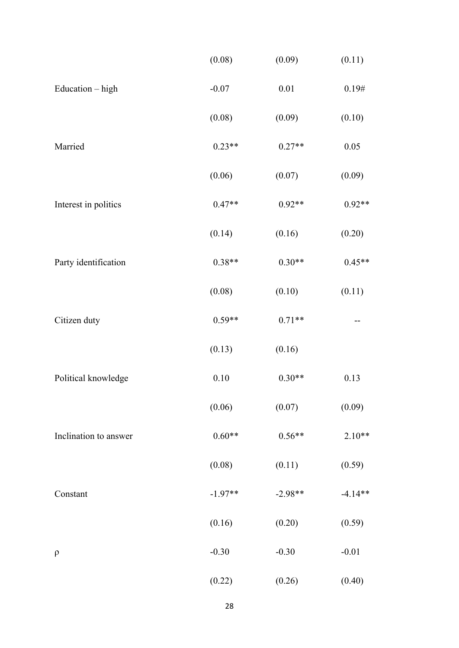|                       | (0.08)    | (0.09)    | (0.11)    |
|-----------------------|-----------|-----------|-----------|
| Education - high      | $-0.07$   | 0.01      | 0.19#     |
|                       | (0.08)    | (0.09)    | (0.10)    |
| Married               | $0.23**$  | $0.27**$  | 0.05      |
|                       | (0.06)    | (0.07)    | (0.09)    |
| Interest in politics  | $0.47**$  | $0.92**$  | $0.92**$  |
|                       | (0.14)    | (0.16)    | (0.20)    |
| Party identification  | $0.38**$  | $0.30**$  | $0.45**$  |
|                       | (0.08)    | (0.10)    | (0.11)    |
| Citizen duty          | $0.59**$  | $0.71**$  |           |
|                       | (0.13)    | (0.16)    |           |
| Political knowledge   | 0.10      | $0.30**$  | 0.13      |
|                       | (0.06)    | (0.07)    | (0.09)    |
| Inclination to answer | $0.60**$  | $0.56**$  | $2.10**$  |
|                       | (0.08)    | (0.11)    | (0.59)    |
| Constant              | $-1.97**$ | $-2.98**$ | $-4.14**$ |
|                       | (0.16)    | (0.20)    | (0.59)    |
| $\rho$                | $-0.30$   | $-0.30$   | $-0.01$   |
|                       | (0.22)    | (0.26)    | (0.40)    |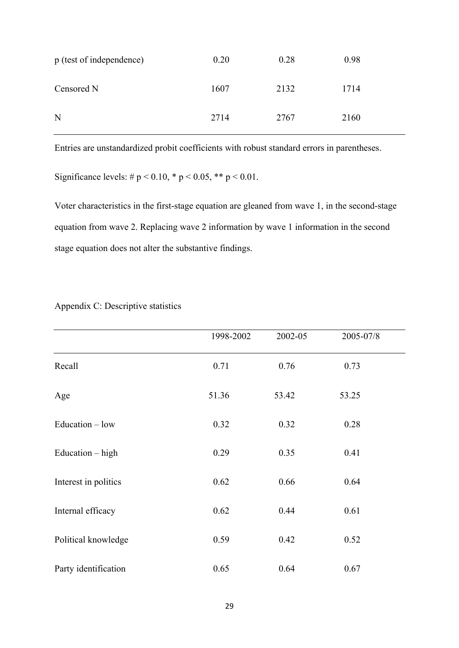| p (test of independence) | 0.20 | 0.28 | 0.98 |
|--------------------------|------|------|------|
| Censored N               | 1607 | 2132 | 1714 |
| N                        | 2714 | 2767 | 2160 |

Entries are unstandardized probit coefficients with robust standard errors in parentheses.

Significance levels:  $\# p \le 0.10$ ,  $* p \le 0.05$ ,  $** p \le 0.01$ .

Voter characteristics in the first-stage equation are gleaned from wave 1, in the second-stage equation from wave 2. Replacing wave 2 information by wave 1 information in the second stage equation does not alter the substantive findings.

|                      | 1998-2002 | 2002-05 | 2005-07/8 |  |
|----------------------|-----------|---------|-----------|--|
| Recall               | 0.71      | 0.76    | 0.73      |  |
| Age                  | 51.36     | 53.42   | 53.25     |  |
| Education - low      | 0.32      | 0.32    | 0.28      |  |
| Education $-$ high   | 0.29      | 0.35    | 0.41      |  |
| Interest in politics | 0.62      | 0.66    | 0.64      |  |
| Internal efficacy    | 0.62      | 0.44    | 0.61      |  |
| Political knowledge  | 0.59      | 0.42    | 0.52      |  |
| Party identification | 0.65      | 0.64    | 0.67      |  |

Appendix C: Descriptive statistics